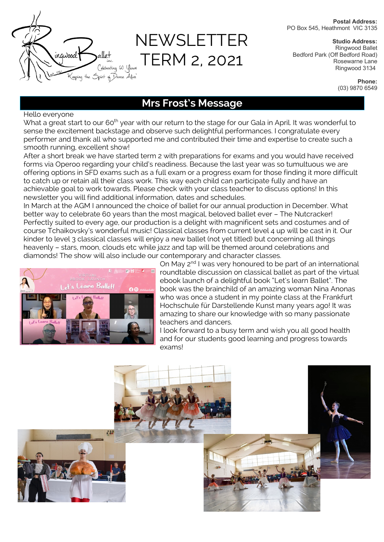

# NEWSLETTER TERM 2, 2021

**Postal Address:** PO Box 545, Heathmont VIC 3135

**Studio Address:** Ringwood Ballet Bedford Park (Off Bedford Road) Rosewarne Lane Ringwood 3134

> **Phone:** (03) 9870 6549

## **Mrs Frost's Message**

Hello everyone

What a great start to our 60<sup>th</sup> year with our return to the stage for our Gala in April. It was wonderful to sense the excitement backstage and observe such delightful performances. I congratulate every performer and thank all who supported me and contributed their time and expertise to create such a smooth running, excellent show!

After a short break we have started term 2 with preparations for exams and you would have received forms via Operoo regarding your child's readiness. Because the last year was so tumultuous we are offering options in SFD exams such as a full exam or a progress exam for those finding it more difficult to catch up or retain all their class work. This way each child can participate fully and have an achievable goal to work towards. Please check with your class teacher to discuss options! In this newsletter you will find additional information, dates and schedules.

In March at the AGM I announced the choice of ballet for our annual production in December. What better way to celebrate 60 years than the most magical, beloved ballet ever – The Nutcracker! Perfectly suited to every age, our production is a delight with magnificent sets and costumes and of course Tchaikovsky's wonderful music! Classical classes from current level 4 up will be cast in it. Our kinder to level 3 classical classes will enjoy a new ballet (not yet titled) but concerning all things heavenly – stars, moon, clouds etc while jazz and tap will be themed around celebrations and diamonds! The show will also include our contemporary and character classes.



On May 2<sup>nd</sup> I was very honoured to be part of an international roundtable discussion on classical ballet as part of the virtual ebook launch of a delightful book "Let's learn Ballet". The book was the brainchild of an amazing woman Nina Anonas who was once a student in my pointe class at the Frankfurt Hochschule für Darstellende Kunst many years ago! It was amazing to share our knowledge with so many passionate teachers and dancers.

I look forward to a busy term and wish you all good health and for our students good learning and progress towards exams!

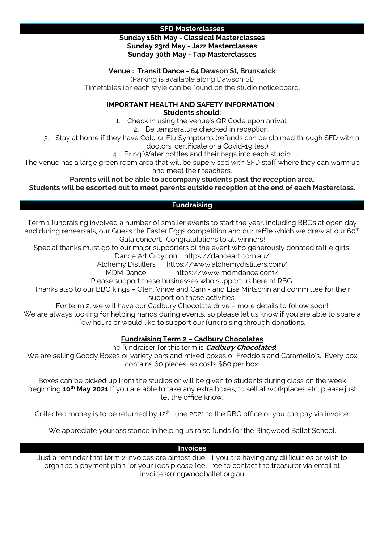## **SFD Masterclasses**

## **Sunday 16th May - Classical Masterclasses Sunday 23rd May - Jazz Masterclasses Sunday 30th May - Tap Masterclasses**

## **Venue : Transit Dance - 64 Dawson St, Brunswick**

(Parking is available along Dawson St)

Timetables for each style can be found on the studio noticeboard.

#### **IMPORTANT HEALTH AND SAFETY INFORMATION : Students should:**

1. Check in using the venue's QR Code upon arrival.

2. Be temperature checked in reception.

3. Stay at home if they have Cold or Flu Symptoms (refunds can be claimed through SFD with a

doctors' certificate or a Covid-19 test)

4. Bring Water bottles and their bags into each studio

The venue has a large green room area that will be supervised with SFD staff where they can warm up and meet their teachers.

**Parents will not be able to accompany students past the reception area.**

## **Students will be escorted out to meet parents outside reception at the end of each Masterclass.**

## **Fundraising**

Term 1 fundraising involved a number of smaller events to start the year, including BBQs at open day and during rehearsals, our Guess the Easter Eggs competition and our raffle which we drew at our 60<sup>th</sup> Gala concert. Congratulations to all winners!

Special thanks must go to our major supporters of the event who generously donated raffle gifts;

Dance Art Croydon https://danceart.com.au/

Alchemy Distillers https://www.alchemydistillers.com/

MDM Dance https://www.mdmdance.com/

Please support these businesses who support us here at RBG.

Thanks also to our BBQ kings – Glen, Vince and Cam - and Lisa Mirtschin and committee for their support on these activities.

For term 2, we will have our Cadbury Chocolate drive – more details to follow soon! We are always looking for helping hands during events, so please let us know if you are able to spare a few hours or would like to support our fundraising through donations.

## **Fundraising Term 2 – Cadbury Chocolates**

The fundraiser for this term is **Cadbury Chocolates**!

We are selling Goody Boxes of variety bars and mixed boxes of Freddo's and Caramello's. Every box contains 60 pieces, so costs \$60 per box.

Boxes can be picked up from the studios or will be given to students during class on the week beginning **10th May 2021** If you are able to take any extra boxes, to sell at workplaces etc, please just let the office know.

Collected money is to be returned by 12<sup>th</sup> June 2021 to the RBG office or you can pay via invoice.

We appreciate your assistance in helping us raise funds for the Ringwood Ballet School.

## **Invoices**

Just a reminder that term 2 invoices are almost due. If you are having any difficulties or wish to organise a payment plan for your fees please feel free to contact the treasurer via email at invoices@ringwoodballet.org.au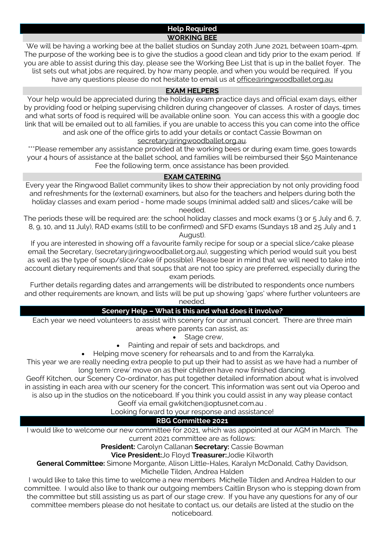## **Help Required WORKING BEE**

We will be having a working bee at the ballet studios on Sunday 20th June 2021, between 10am-4pm. The purpose of the working bee is to give the studios a good clean and tidy prior to the exam period. If you are able to assist during this day, please see the Working Bee List that is up in the ballet foyer. The list sets out what jobs are required, by how many people, and when you would be required. If you have any questions please do not hesitate to email us at office@ringwoodballet.org.au

## **EXAM HELPERS**

Your help would be appreciated during the holiday exam practice days and official exam days, either by providing food or helping supervising children during changeover of classes. A roster of days, times and what sorts of food is required will be available online soon. You can access this with a google doc link that will be emailed out to all families, if you are unable to access this you can come into the office and ask one of the office girls to add your details or contact Cassie Bowman on

## secretary@ringwoodballet.org.au.

\*\*\*Please remember any assistance provided at the working bees or during exam time, goes towards your 4 hours of assistance at the ballet school, and families will be reimbursed their \$50 Maintenance Fee the following term, once assistance has been provided.

## **EXAM CATERING**

Every year the Ringwood Ballet community likes to show their appreciation by not only providing food and refreshments for the (external) examiners, but also for the teachers and helpers during both the holiday classes and exam period - home made soups (minimal added salt) and slices/cake will be needed.

The periods these will be required are: the school holiday classes and mock exams (3 or 5 July and 6, 7, 8, 9, 10, and 11 July), RAD exams (still to be confirmed) and SFD exams (Sundays 18 and 25 July and 1

August).

If you are interested in showing off a favourite family recipe for soup or a special slice/cake please email the Secretary, (secretary@ringwoodballet.org.au), suggesting which period would suit you best as well as the type of soup/slice/cake (if possible). Please bear in mind that we will need to take into account dietary requirements and that soups that are not too spicy are preferred, especially during the exam periods.

Further details regarding dates and arrangements will be distributed to respondents once numbers and other requirements are known, and lists will be put up showing 'gaps' where further volunteers are needed.

## **Scenery Help – What is this and what does it involve?**

Each year we need volunteers to assist with scenery for our annual concert. There are three main areas where parents can assist, as:

Stage crew,

Painting and repair of sets and backdrops, and

• Helping move scenery for rehearsals and to and from the Karralyka.

This year we are really needing extra people to put up their had to assist as we have had a number of long term 'crew' move on as their children have now finished dancing.

Geoff Kitchen, our Scenery Co-ordinator, has put together detailed information about what is involved in assisting in each area with our scenery for the concert. This information was sent out via Operoo and is also up in the studios on the noticeboard. If you think you could assist in any way please contact

Geoff via email gwkitchen@optusnet.com.au .

Looking forward to your response and assistance!

## **RBG Committee 2021**

I would like to welcome our new committee for 2021, which was appointed at our AGM in March. The current 2021 committee are as follows:

**President:** Carolyn Callanan **Secretary:** Cassie Bowman

**Vice President:**Jo Floyd **Treasurer:**Jodie Kilworth

**General Committee:** Simone Morgante, Alison Little-Hales, Karalyn McDonald, Cathy Davidson, Michelle Tilden, Andrea Halden

I would like to take this time to welcome a new members Michelle Tilden and Andrea Halden to our committee. I would also like to thank our outgoing members Caitlin Bryson who is stepping down from the committee but still assisting us as part of our stage crew. If you have any questions for any of our committee members please do not hesitate to contact us, our details are listed at the studio on the noticeboard.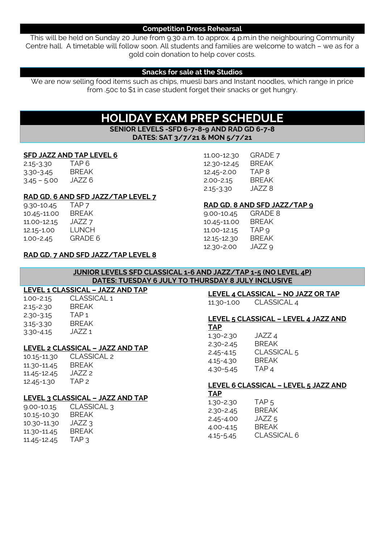#### **Competition Dress Rehearsal**

This will be held on Sunday 20 June from 9.30 a.m. to approx. 4 p.m.in the neighbouring Community Centre hall. A timetable will follow soon. All students and families are welcome to watch – we as for a gold coin donation to help cover costs.

#### **Snacks for sale at the Studios**

We are now selling food items such as chips, muesli bars and Instant noodles, which range in price from .50c to \$1 in case student forget their snacks or get hungry.

## **HOLIDAY EXAM PREP SCHEDULE**

**SENIOR LEVELS -SFD 6-7-8-9 AND RAD GD 6-7-8 DATES: SAT 3/7/21 & MON 5/7/21**

#### **SFD JAZZ AND TAP LEVEL 6**

2.15-3.30 TAP 6 3.30-3.45 BREAK  $3.45 - 5.00$  JAZZ 6

#### **RAD GD. 6 AND SFD JAZZ/TAP LEVEL 7**

9.30-10.45 TAP 7<br>10.45-11.00 BREA 10.45-11.00 BREAK 11.00-12.15 JAZZ 7 12.15-1.00 LUNCH 1.00-2.45 GRADE 6

#### **RAD GD. 7 AND SFD JAZZ/TAP LEVEL 8**

#### **JUNIOR LEVELS SFD CLASSICAL 1-6 AND JAZZ/TAP 1-5 (NO LEVEL 4P) DATES: TUESDAY 6 JULY TO THURSDAY 8 JULY INCLUSIVE**

#### **LEVEL 1 CLASSICAL – JAZZ AND TAP**  $CAI$  1

| 1.00-2.15 | CLASSIO      |
|-----------|--------------|
| 2.15-2.30 | <b>BREAK</b> |
| 2.30-3.15 | TAP 1        |
| 3.15-3.30 | <b>BREAK</b> |
| 3.30-4.15 | JA77 1       |

#### **LEVEL 2 CLASSICAL – JAZZ AND TAP**

10.15-11.30 CLASSICAL 2 11.30-11.45 BREAK 11.45-12.45 JAZZ 2 12.45-1.30 TAP 2

## **LEVEL 3 CLASSICAL – JAZZ AND TAP**

| CLASSICAL 3  |
|--------------|
| <b>BREAK</b> |
| JAZZ 3       |
| BRFAK        |
| TAP 3        |
|              |

## **LEVEL 4 CLASSICAL – NO JAZZ OR TAP**

11.30-1.00 CLASSICAL 4

**RAD GD. 8 AND SFD JAZZ/TAP 9**

11.00-12.30 GRADE 7 12.30-12.45 BREAK 12.45-2.00 TAP 8 2.00-2.15 BREAK 2.15-3.30 JAZZ 8

9.00-10.45 GRADE 8 10.45-11.00 BREAK 11.00-12.15 TAP 9 12.15-12.30 BREAK 12.30-2.00 JAZZ 9

#### **LEVEL 5 CLASSICAL – LEVEL 4 JAZZ AND TAP**

1.30-2.30 JAZZ 4 2.30-2.45 BREAK 2.45-4.15 CLASSICAL 5 4.15-4.30 BREAK 4.30-5.45 TAP 4

## **LEVEL 6 CLASSICAL – LEVEL 5 JAZZ AND**

**TAP**

| 1.30-2.30     | TAP <sub>5</sub>   |
|---------------|--------------------|
| $2.30 - 2.45$ | <b>BRFAK</b>       |
| 2.45-4.00     | JAZZ 5             |
| 4.00-4.15     | <b>BRFAK</b>       |
| 4.15-5.45     | <b>CLASSICAL 6</b> |
|               |                    |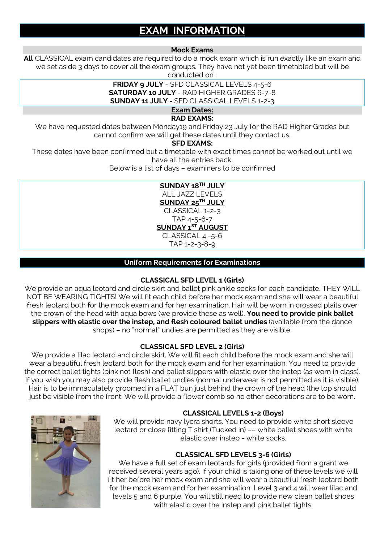## **EXAM INFORMATION**

#### **Mock Exams**

**All** CLASSICAL exam candidates are required to do a mock exam which is run exactly like an exam and we set aside 3 days to cover all the exam groups. They have not yet been timetabled but will be conducted on :

> **FRIDAY 9 JULY** - SFD CLASSICAL LEVELS 4-5-6 **SATURDAY 10 JULY** - RAD HIGHER GRADES 6-7-8 **SUNDAY 11 JULY -** SFD CLASSICAL LEVELS 1-2-3

> > **Exam Dates:**

## **RAD EXAMS:**

We have requested dates between Monday19 and Friday 23 July for the RAD Higher Grades but cannot confirm we will get these dates until they contact us.

#### **SFD EXAMS:**

These dates have been confirmed but a timetable with exact times cannot be worked out until we have all the entries back.

Below is a list of days – examiners to be confirmed

## **SUNDAY 18TH JULY**

ALL JAZZ LEVELS

**SUNDAY 25TH JULY** CLASSICAL 1-2-3

TAP 4-5-6-7

**SUNDAY 1ST AUGUST**

CLASSICAL 4 -5-6

TAP 1-2-3-8-9

## **Uniform Requirements for Examinations**

## **CLASSICAL SFD LEVEL 1 (Girls)**

We provide an aqua leotard and circle skirt and ballet pink ankle socks for each candidate. THEY WILL NOT BE WEARING TIGHTS! We will fit each child before her mock exam and she will wear a beautiful fresh leotard both for the mock exam and for her examination. Hair will be worn in crossed plaits over the crown of the head with aqua bows (we provide these as well). **You need to provide pink ballet slippers with elastic over the instep, and flesh coloured ballet undies** (available from the dance shops) – no "normal" undies are permitted as they are visible.

## **CLASSICAL SFD LEVEL 2 (Girls)**

We provide a lilac leotard and circle skirt. We will fit each child before the mock exam and she will wear a beautiful fresh leotard both for the mock exam and for her examination. You need to provide the correct ballet tights (pink not flesh) and ballet slippers with elastic over the instep (as worn in class). If you wish you may also provide flesh ballet undies (normal underwear is not permitted as it is visible). Hair is to be immaculately groomed in a FLAT bun just behind the crown of the head (the top should just be visible from the front. We will provide a flower comb so no other decorations are to be worn.



## **CLASSICAL LEVELS 1-2 (Boys)**

We will provide navy lycra shorts. You need to provide white short sleeve leotard or close fitting T shirt (Tucked in) –– white ballet shoes with white elastic over instep - white socks.

## **CLASSICAL SFD LEVELS 3-6 (Girls)**

We have a full set of exam leotards for girls (provided from a grant we received several years ago). If your child is taking one of these levels we will fit her before her mock exam and she will wear a beautiful fresh leotard both for the mock exam and for her examination. Level 3 and 4 will wear lilac and levels 5 and 6 purple. You will still need to provide new clean ballet shoes with elastic over the instep and pink ballet tights.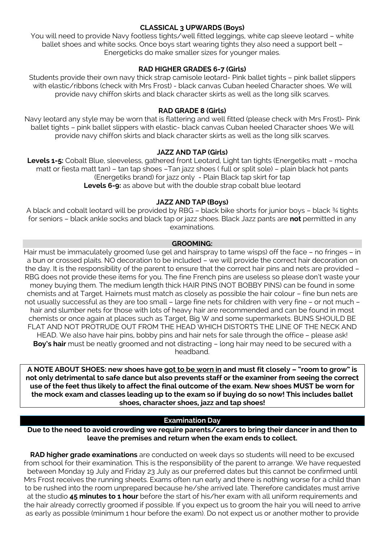## **CLASSICAL 3 UPWARDS (Boys)**

You will need to provide Navy footless tights/well fitted leggings, white cap sleeve leotard – white ballet shoes and white socks. Once boys start wearing tights they also need a support belt -Energeticks do make smaller sizes for younger males.

## **RAD HIGHER GRADES 6-7 (Girls)**

Students provide their own navy thick strap camisole leotard- Pink ballet tights – pink ballet slippers with elastic/ribbons (check with Mrs Frost) - black canvas Cuban heeled Character shoes. We will provide navy chiffon skirts and black character skirts as well as the long silk scarves.

## **RAD GRADE 8 (Girls)**

Navy leotard any style may be worn that is flattering and well fitted (please check with Mrs Frost)- Pink ballet tights – pink ballet slippers with elastic- black canvas Cuban heeled Character shoes We will provide navy chiffon skirts and black character skirts as well as the long silk scarves.

## **JAZZ AND TAP (Girls)**

**Levels 1-5:** Cobalt Blue, sleeveless, gathered front Leotard, Light tan tights (Energetiks matt – mocha matt or fiesta matt tan) – tan tap shoes –Tan jazz shoes ( full or split sole) – plain black hot pants (Energetiks brand) for jazz only - Plain Black tap skirt for tap **Levels 6-9:** as above but with the double strap cobalt blue leotard

## **JAZZ AND TAP (Boys)**

A black and cobalt leotard will be provided by RBG – black bike shorts for junior boys – black ¾ tights for seniors – black ankle socks and black tap or jazz shoes. Black Jazz pants are **not** permitted in any examinations.

## **GROOMING:**

Hair must be immaculately groomed (use gel and hairspray to tame wisps) off the face – no fringes – in a bun or crossed plaits. NO decoration to be included – we will provide the correct hair decoration on the day. It is the responsibility of the parent to ensure that the correct hair pins and nets are provided – RBG does not provide these items for you. The fine French pins are useless so please don't waste your money buying them. The medium length thick HAIR PINS (NOT BOBBY PINS) can be found in some chemists and at Target. Hairnets must match as closely as possible the hair colour – fine bun nets are not usually successful as they are too small – large fine nets for children with very fine – or not much – hair and slumber nets for those with lots of heavy hair are recommended and can be found in most chemists or once again at places such as Target, Big W and some supermarkets. BUNS SHOULD BE FLAT AND NOT PROTRUDE OUT FROM THE HEAD WHICH DISTORTS THE LINE OF THE NECK AND HEAD. We also have hair pins, bobby pins and hair nets for sale through the office – please ask! **Boy's hair** must be neatly groomed and not distracting – long hair may need to be secured with a headband.

**A NOTE ABOUT SHOES: new shoes have got to be worn in and must fit closely – "room to grow" is not only detrimental to safe dance but also prevents staff or the examiner from seeing the correct use of the feet thus likely to affect the final outcome of the exam. New shoes MUST be worn for the mock exam and classes leading up to the exam so if buying do so now! This includes ballet shoes, character shoes, jazz and tap shoes!**

## **Examination Day**

**Due to the need to avoid crowding we require parents/carers to bring their dancer in and then to leave the premises and return when the exam ends to collect.**

**RAD higher grade examinations** are conducted on week days so students will need to be excused from school for their examination. This is the responsibility of the parent to arrange. We have requested between Monday 19 July and Friday 23 July as our preferred dates but this cannot be confirmed until Mrs Frost receives the running sheets. Exams often run early and there is nothing worse for a child than to be rushed into the room unprepared because he/she arrived late. Therefore candidates must arrive at the studio **45 minutes to 1 hour** before the start of his/her exam with all uniform requirements and the hair already correctly groomed if possible. If you expect us to groom the hair you will need to arrive as early as possible (minimum 1 hour before the exam). Do not expect us or another mother to provide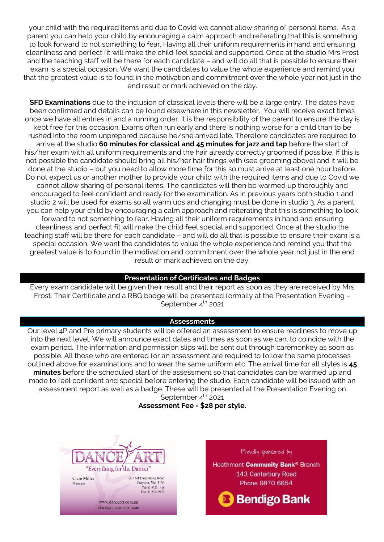your child with the required items and due to Covid we cannot allow sharing of personal items. As a parent you can help your child by encouraging a calm approach and reiterating that this is something to look forward to not something to fear. Having all their uniform requirements in hand and ensuring cleanliness and perfect fit will make the child feel special and supported. Once at the studio Mrs Frost and the teaching staff will be there for each candidate – and will do all that is possible to ensure their exam is a special occasion. We want the candidates to value the whole experience and remind you that the greatest value is to found in the motivation and commitment over the whole year not just in the end result or mark achieved on the day.

**SFD Examinations** due to the inclusion of classical levels there will be a large entry. The dates have been confirmed and details can be found elsewhere in this newsletter. You will receive exact times once we have all entries in and a running order. It is the responsibility of the parent to ensure the day is kept free for this occasion. Exams often run early and there is nothing worse for a child than to be rushed into the room unprepared because he/she arrived late. Therefore candidates are required to arrive at the studio **60 minutes for classical and 45 minutes for jazz and tap** before the start of his/her exam with all uniform requirements and the hair already correctly groomed if possible. If this is not possible the candidate should bring all his/her hair things with (see grooming above) and it will be done at the studio – but you need to allow more time for this so must arrive at least one hour before. Do not expect us or another mother to provide your child with the required items and due to Covid we cannot allow sharing of personal items. The candidates will then be warmed up thoroughly and encouraged to feel confident and ready for the examination. As in previous years both studio 1 and studio 2 will be used for exams so all warm ups and changing must be done in studio 3. As a parent you can help your child by encouraging a calm approach and reiterating that this is something to look forward to not something to fear. Having all their uniform requirements in hand and ensuring cleanliness and perfect fit will make the child feel special and supported. Once at the studio the teaching staff will be there for each candidate – and will do all that is possible to ensure their exam is a special occasion. We want the candidates to value the whole experience and remind you that the greatest value is to found in the motivation and commitment over the whole year not just in the end result or mark achieved on the day.

#### **Presentation of Certificates and Badges**

Every exam candidate will be given their result and their report as soon as they are received by Mrs Frost. Their Certificate and a RBG badge will be presented formally at the Presentation Evening – September  $4<sup>th</sup>$  2021

#### **Assessments**

Our level 4P and Pre primary students will be offered an assessment to ensure readiness to move up into the next level. We will announce exact dates and times as soon as we can, to coincide with the exam period. The information and permission slips will be sent out through caremonkey as soon as possible. All those who are entered for an assessment are required to follow the same processes outlined above for examinations and to wear the same uniform etc. The arrival time for all styles is **45 minutes** before the scheduled start of the assessment so that candidates can be warmed up and made to feel confident and special before entering the studio. Each candidate will be issued with an assessment report as well as a badge. These will be presented at the Presentation Evening on September  $4<sup>th</sup>$  2021

## **Assessment Fee - \$28 per style.**



www.danceart.com.au clare@danceart.com.au

Manager

Croydon, Vic, 3136

Tel: 03 9723 1416<br>Fax: 03 9724 9673